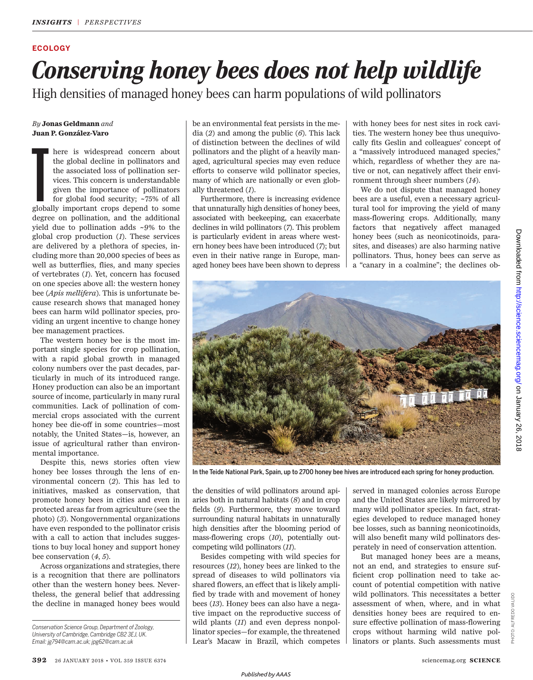#### **ECOLOGY**

# *Conserving honey bees does not help wildlife*

High densities of managed honey bees can harm populations of wild pollinators

#### *By* **Jonas Geldmann** *and* **Juan P. González-Varo**

here is widespread concern about<br>the global decline in pollinators and<br>the associated loss of pollination ser-<br>vices. This concern is understandable<br>given the importance of pollinators<br>for global food security; ~75% of all here is widespread concern about the global decline in pollinators and the associated loss of pollination services. This concern is understandable given the importance of pollinators for global food security; ~75% of all degree on pollination, and the additional yield due to pollination adds ~9% to the global crop production (*1*). These services are delivered by a plethora of species, including more than 20,000 species of bees as well as butterflies, flies, and many species of vertebrates (*1*). Yet, concern has focused on one species above all: the western honey bee (*Apis mellifera*). This is unfortunate because research shows that managed honey bees can harm wild pollinator species, providing an urgent incentive to change honey bee management practices.

The western honey bee is the most important single species for crop pollination, with a rapid global growth in managed colony numbers over the past decades, particularly in much of its introduced range. Honey production can also be an important source of income, particularly in many rural communities. Lack of pollination of commercial crops associated with the current honey bee die-off in some countries—most notably, the United States—is, however, an issue of agricultural rather than environmental importance.

Despite this, news stories often view honey bee losses through the lens of environmental concern (*2*). This has led to initiatives, masked as conservation, that promote honey bees in cities and even in protected areas far from agriculture (see the photo) (*3*). Nongovernmental organizations have even responded to the pollinator crisis with a call to action that includes suggestions to buy local honey and support honey bee conservation (*4*, *5*).

Across organizations and strategies, there is a recognition that there are pollinators other than the western honey bees. Nevertheless, the general belief that addressing the decline in managed honey bees would be an environmental feat persists in the media (*2*) and among the public (*6*). This lack of distinction between the declines of wild pollinators and the plight of a heavily managed, agricultural species may even reduce efforts to conserve wild pollinator species, many of which are nationally or even globally threatened (*1*).

Furthermore, there is increasing evidence that unnaturally high densities of honey bees, associated with beekeeping, can exacerbate declines in wild pollinators (*7*). This problem is particularly evident in areas where western honey bees have been introduced (*7*); but even in their native range in Europe, managed honey bees have been shown to depress

with honey bees for nest sites in rock cavities. The western honey bee thus unequivocally fits Geslin and colleagues' concept of a "massively introduced managed species," which, regardless of whether they are native or not, can negatively affect their environment through sheer numbers (*14*).

We do not dispute that managed honey bees are a useful, even a necessary agricultural tool for improving the yield of many mass-flowering crops. Additionally, many factors that negatively affect managed honey bees (such as neonicotinoids, parasites, and diseases) are also harming native pollinators. Thus, honey bees can serve as a "canary in a coalmine"; the declines ob-



In the Teide National Park, Spain, up to 2700 honey bee hives are introduced each spring for honey production.

the densities of wild pollinators around apiaries both in natural habitats (*8*) and in crop fields (*9*). Furthermore, they move toward surrounding natural habitats in unnaturally high densities after the blooming period of mass-flowering crops (*10*), potentially outcompeting wild pollinators (*11*).

Besides competing with wild species for resources (*12*), honey bees are linked to the spread of diseases to wild pollinators via shared flowers, an effect that is likely amplified by trade with and movement of honey bees (*13*). Honey bees can also have a negative impact on the reproductive success of wild plants (*11*) and even depress nonpollinator species—for example, the threatened Lear's Macaw in Brazil, which competes

served in managed colonies across Europe and the United States are likely mirrored by many wild pollinator species. In fact, strategies developed to reduce managed honey bee losses, such as banning neonicotinoids, will also benefit many wild pollinators desperately in need of conservation attention.

But managed honey bees are a means, not an end, and strategies to ensure sufficient crop pollination need to take account of potential competition with native wild pollinators. This necessitates a better assessment of when, where, and in what densities honey bees are required to ensure effective pollination of mass-flowering crops without harming wild native pollinators or plants. Such assessments must

PHOTO: ALFREDO VALIDO

PHOTO:

**DO** š

*Conservation Science Group, Department of Zoology, University of Cambridge, Cambridge CB2 3EJ, UK. Email: jg794@cam.ac.uk; jpg62@cam.ac.uk*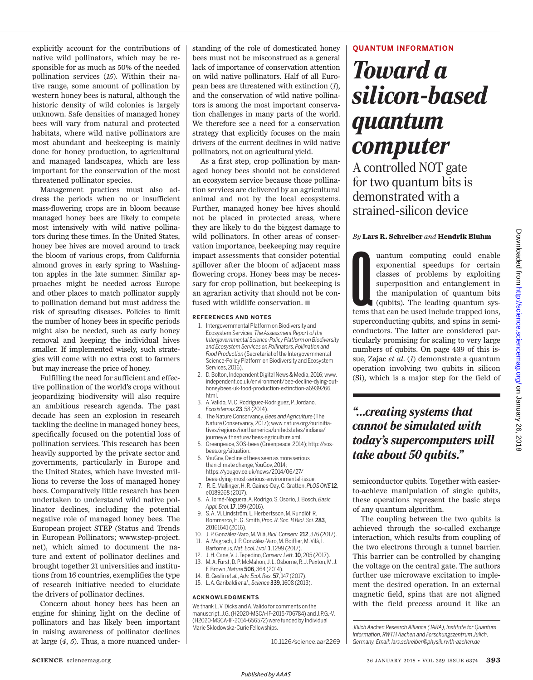explicitly account for the contributions of native wild pollinators, which may be responsible for as much as 50% of the needed pollination services (*15*). Within their native range, some amount of pollination by western honey bees is natural, although the historic density of wild colonies is largely unknown. Safe densities of managed honey bees will vary from natural and protected habitats, where wild native pollinators are most abundant and beekeeping is mainly done for honey production, to agricultural and managed landscapes, which are less important for the conservation of the most threatened pollinator species.

Management practices must also address the periods when no or insufficient mass-flowering crops are in bloom because managed honey bees are likely to compete most intensively with wild native pollinators during these times. In the United States, honey bee hives are moved around to track the bloom of various crops, from California almond groves in early spring to Washington apples in the late summer. Similar approaches might be needed across Europe and other places to match pollinator supply to pollination demand but must address the risk of spreading diseases. Policies to limit the number of honey bees in specific periods might also be needed, such as early honey removal and keeping the individual hives smaller. If implemented wisely, such strategies will come with no extra cost to farmers but may increase the price of honey.

Fulfilling the need for sufficient and effective pollination of the world's crops without jeopardizing biodiversity will also require an ambitious research agenda. The past decade has seen an explosion in research tackling the decline in managed honey bees, specifically focused on the potential loss of pollination services. This research has been heavily supported by the private sector and governments, particularly in Europe and the United States, which have invested millions to reverse the loss of managed honey bees. Comparatively little research has been undertaken to understand wild native pollinator declines, including the potential negative role of managed honey bees. The European project STEP (Status and Trends in European Pollinators; www.step-project. net), which aimed to document the nature and extent of pollinator declines and brought together 21 universities and institutions from 16 countries, exemplifies the type of research initiative needed to elucidate the drivers of pollinator declines.

Concern about honey bees has been an engine for shining light on the decline of pollinators and has likely been important in raising awareness of pollinator declines at large (*4*, *5*). Thus, a more nuanced understanding of the role of domesticated honey bees must not be misconstrued as a general lack of importance of conservation attention on wild native pollinators. Half of all European bees are threatened with extinction (*1*), and the conservation of wild native pollinators is among the most important conservation challenges in many parts of the world. We therefore see a need for a conservation strategy that explicitly focuses on the main drivers of the current declines in wild native pollinators, not on agricultural yield.

As a first step, crop pollination by managed honey bees should not be considered an ecosystem service because those pollination services are delivered by an agricultural animal and not by the local ecosystems. Further, managed honey bee hives should not be placed in protected areas, where they are likely to do the biggest damage to wild pollinators. In other areas of conservation importance, beekeeping may require impact assessments that consider potential spillover after the bloom of adjacent mass flowering crops. Honey bees may be necessary for crop pollination, but beekeeping is an agrarian activity that should not be confused with wildlife conservation.  $\blacksquare$ 

#### **REFERENCES AND NOTES**

- 1. Intergovernmental Platformon Biodiversity and Ecosystem Services,*The Assessment Report of the Intergovernmental Science-Policy Platform on Biodiversity and EcosystemServices on Pollinators, Pollination and Food Production* (Secretariat of the Intergovernmental Science-Policy Platformon Biodiversity and Ecosystem Services, 2016).
- 2. D. Bolton, Independent Digital News & Media, 2016; www. independent.co.uk/environment/bee-decline-dying-outhoneybees-uk-food-production-extinction-a6939266. html.
- 3. A.Valido,M. C. Rodriguez-Rodriguez, P.Jordano, *Ecosistemas* 23, 58 (2014).
- 4. The Nature Conservancy,*Bees and Agriculture* (The Nature Conservancy, 2017); www.nature.org/ourinitiatives/regions/northamerica/unitedstates/indiana/ journeywithnature/bees-agriculture.xml.
- 5. Greenpeace, SOS-bees (Greenpeace, 2014); http://sosbees.org/situation.
- 6. YouGov, Decline of bees seen as more serious than climate change, YouGov, 2014; https://yougov.co.uk/news/2014/06/27/ bees-dying-most-serious-environmental-issue.
- 7. R.E. Mallinger,H. R.Gaines-Day, C.Gratton,*PLOS ONE* 12, e0189268 (2017).
- 8. A. Torné-Noguera, A. Rodrigo, S. Osorio,J. Bosch,*Basic Appl. Ecol.*17, 199 (2016).
- 9. S.A. M. Lindström, L. Herbertsson, M. Rundlöf, R. Bommarco, H.G. Smith,*Proc. R. Soc. B Biol. Sci.* 283, 20161641 (2016).
- 10. J. P.González-Varo, M.Vilà,*Biol. Conserv.* 212, 376 (2017). 11. A. Magrach,J. P. González-Varo, M.Boiffier, M.Vilà, I. Bartomeus,*Nat. Ecol. Evol.*1, 1299 (2017).
- 
- 12. J. H. Cane, V. J. Tepedino,*Conserv. Lett.*10, 205 (2017). M.A. Fürst, D. P. McMahon, J. L. Osborne, R. J. Paxton, M. J. F. Brown,*Nature* 506, 364 (2014).
- 14. B. Geslin *et al.*, *Adv. Ecol. Res.* 57, 147 (2017).
- 15. L. A.Garibaldi *et al.*, *Science* 339, 1608 (2013).

#### **ACKNOWLEDGMENTS**

We thank L.V. Dicks and A. Valido for comments on the manuscript. J.G. (H2020-MSCA-IF-2015-706784) and J.P.G.-V. (H2020-MSCA-IF-2014-656572) were funded by Individual Marie Sklodowska-Curie Fellowships.

10.1126/science.aar2269

#### **QUANTUM INFORMATION**

## *Toward a silicon-based quantum computer*

A controlled NOT gate for two quantum bits is demonstrated with a strained-silicon device

#### *By* **Lars R. Schreiber** *and* **Hendrik Bluhm**

Lems t uantum computing could enable exponential speedups for certain classes of problems by exploiting superposition and entanglement in the manipulation of quantum bits (qubits). The leading quantum systems that can be used include trapped ions, superconducting qubits, and spins in semiconductors. The latter are considered particularly promising for scaling to very large numbers of qubits. On page 439 of this issue, Zajac *et al*. (*1*) demonstrate a quantum operation involving two qubits in silicon (Si), which is a major step for the field of

### *"…creating systems that cannot be simulated with today's supercomputers will take about 50 qubits."*

semiconductor qubits. Together with easierto-achieve manipulation of single qubits, these operations represent the basic steps of any quantum algorithm.

The coupling between the two qubits is achieved through the so-called exchange interaction, which results from coupling of the two electrons through a tunnel barrier. This barrier can be controlled by changing the voltage on the central gate. The authors further use microwave excitation to implement the desired operation. In an external magnetic field, spins that are not aligned with the field precess around it like an

*Jülich Aachen Research Alliance (JARA), Institute for Quantum Information, RWTH Aachen and Forschungszentrum Jülich, Germany. Email: lars.schreiber@physik.rwth-aachen.de*